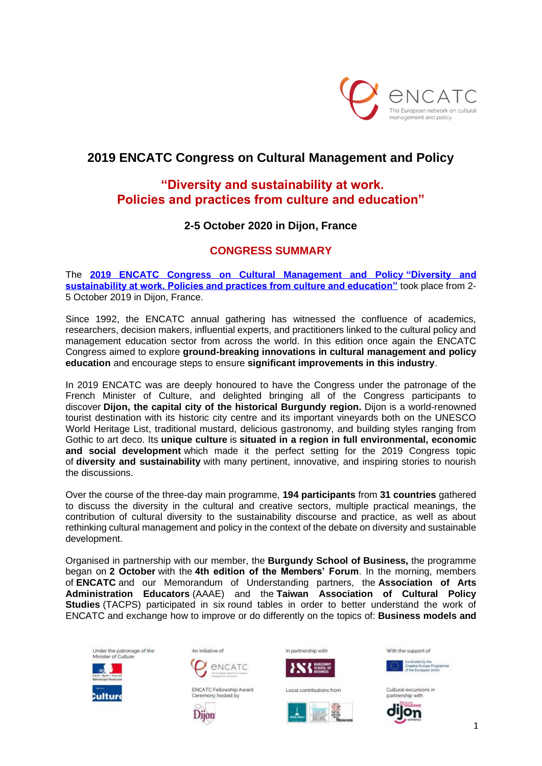

# **2019 ENCATC Congress on Cultural Management and Policy**

# **"Diversity and sustainability at work. Policies and practices from culture and education"**

## **2-5 October 2020 in Dijon, France**

### **CONGRESS SUMMARY**

The **[2019 ENCATC Congress on Cultural Management and Policy](https://www.encatc.org/en/events/detail/2019-encatc-congress/) "Diversity and [sustainability at work. Policies and practices from culture and education"](https://www.encatc.org/en/events/detail/2019-encatc-congress/)** took place from 2- 5 October 2019 in Dijon, France.

Since 1992, the ENCATC annual gathering has witnessed the confluence of academics, researchers, decision makers, influential experts, and practitioners linked to the cultural policy and management education sector from across the world. In this edition once again the ENCATC Congress aimed to explore **ground-breaking innovations in cultural management and policy education** and encourage steps to ensure **significant improvements in this industry**.

In 2019 ENCATC was are deeply honoured to have the Congress under the patronage of the French Minister of Culture, and delighted bringing all of the Congress participants to discover **Dijon, the capital city of the historical Burgundy region.** Dijon is a world-renowned tourist destination with its historic city centre and its important vineyards both on the UNESCO World Heritage List, traditional mustard, delicious gastronomy, and building styles ranging from Gothic to art deco. Its **unique culture** is **situated in a region in full environmental, economic and social development** which made it the perfect setting for the 2019 Congress topic of **diversity and sustainability** with many pertinent, innovative, and inspiring stories to nourish the discussions.

Over the course of the three-day main programme, **194 participants** from **31 countries** gathered to discuss the diversity in the cultural and creative sectors, multiple practical meanings, the contribution of cultural diversity to the sustainability discourse and practice, as well as about rethinking cultural management and policy in the context of the debate on diversity and sustainable development.

Organised in partnership with our member, the **Burgundy School of Business,** the programme began on **2 October** with the **4th edition of the Members' Forum**. In the morning, members of **ENCATC** and our Memorandum of Understanding partners, the **Association of Arts Administration Educators** (AAAE) and the **Taiwan Association of Cultural Policy Studies** (TACPS) participated in six round tables in order to better understand the work of ENCATC and exchange how to improve or do differently on the topics of: **Business models and** 





Ceremony hosted by

Dijon





In partnerchip with



Local contributions from



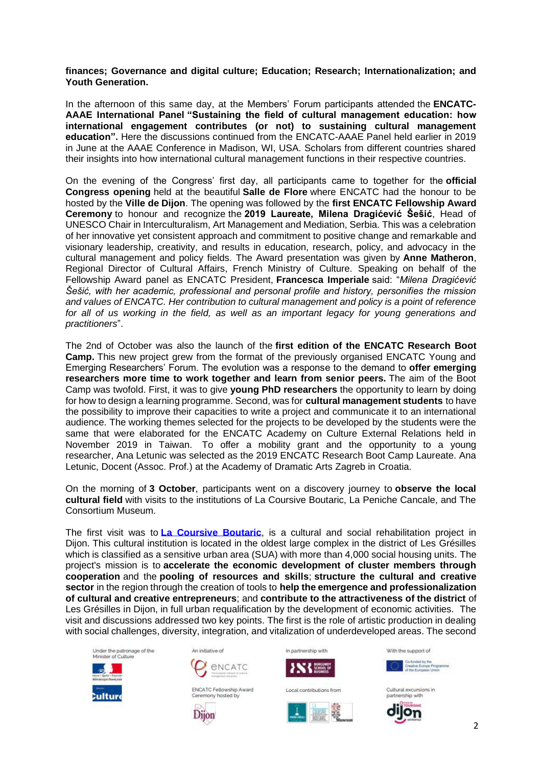#### **finances; Governance and digital culture; Education; Research; Internationalization; and Youth Generation.**

In the afternoon of this same day, at the Members' Forum participants attended the **ENCATC-AAAE International Panel "Sustaining the field of cultural management education: how international engagement contributes (or not) to sustaining cultural management education".** Here the discussions continued from the ENCATC-AAAE Panel held earlier in 2019 in June at the AAAE Conference in Madison, WI, USA. Scholars from different countries shared their insights into how international cultural management functions in their respective countries.

On the evening of the Congress' first day, all participants came to together for the **official Congress opening** held at the beautiful **Salle de Flore** where ENCATC had the honour to be hosted by the **Ville de Dijon**. The opening was followed by the **first ENCATC Fellowship Award Ceremony** to honour and recognize the **2019 Laureate, Milena Dragićević Šešić**, Head of UNESCO Chair in Interculturalism, Art Management and Mediation, Serbia. This was a celebration of her innovative yet consistent approach and commitment to positive change and remarkable and visionary leadership, creativity, and results in education, research, policy, and advocacy in the cultural management and policy fields. The Award presentation was given by **Anne Matheron**, Regional Director of Cultural Affairs, French Ministry of Culture. Speaking on behalf of the Fellowship Award panel as ENCATC President, **Francesca Imperiale** said: "*Milena Dragićević Šešić, with her academic, professional and personal profile and history, personifies the mission and values of ENCATC. Her contribution to cultural management and policy is a point of reference for all of us working in the field, as well as an important legacy for young generations and practitioners*".

The 2nd of October was also the launch of the **first edition of the ENCATC Research Boot Camp.** This new project grew from the format of the previously organised ENCATC Young and Emerging Researchers' Forum. The evolution was a response to the demand to **offer emerging researchers more time to work together and learn from senior peers.** The aim of the Boot Camp was twofold. First, it was to give **young PhD researchers** the opportunity to learn by doing for how to design a learning programme. Second, was for **cultural management students** to have the possibility to improve their capacities to write a project and communicate it to an international audience. The working themes selected for the projects to be developed by the students were the same that were elaborated for the ENCATC Academy on Culture External Relations held in November 2019 in Taiwan. To offer a mobility grant and the opportunity to a young researcher, Ana Letunic was selected as the 2019 ENCATC Research Boot Camp Laureate. Ana Letunic, Docent (Assoc. Prof.) at the Academy of Dramatic Arts Zagreb in Croatia.

On the morning of **3 October**, participants went on a discovery journey to **observe the local cultural field** with visits to the institutions of La Coursive Boutaric, La Peniche Cancale, and The Consortium Museum.

The first visit was to **[La Coursive Boutaric](https://www.la-coursive.fr/)**, is a cultural and social rehabilitation project in Dijon. This cultural institution is located in the oldest large complex in the district of Les Grésilles which is classified as a sensitive urban area (SUA) with more than 4,000 social housing units. The project's mission is to **accelerate the economic development of cluster members through cooperation** and the **pooling of resources and skills**; **structure the cultural and creative sector** in the region through the creation of tools to **help the emergence and professionalization of cultural and creative entrepreneurs**; and **contribute to the attractiveness of the district** of Les Grésilles in Dijon, in full urban requalification by the development of economic activities. The visit and discussions addressed two key points. The first is the role of artistic production in dealing with social challenges, diversity, integration, and vitalization of underdeveloped areas. The second





Dijon







Local contributions from

In partnerchip with

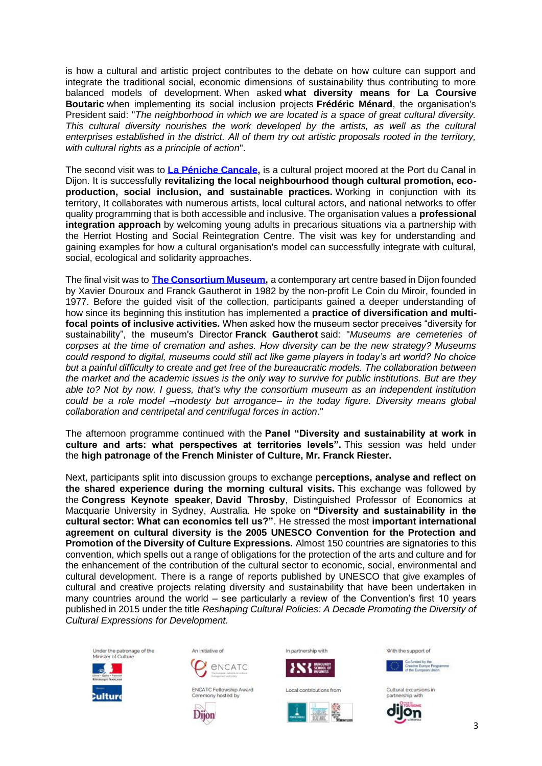is how a cultural and artistic project contributes to the debate on how culture can support and integrate the traditional social, economic dimensions of sustainability thus contributing to more balanced models of development. When asked **what diversity means for La Coursive Boutaric** when implementing its social inclusion projects **Frédéric Ménard**, the organisation's President said: "*The neighborhood in which we are located is a space of great cultural diversity. This cultural diversity nourishes the work developed by the artists, as well as the cultural enterprises established in the district. All of them try out artistic proposals rooted in the territory, with cultural rights as a principle of action*".

The second visit was to **[La Péniche Cancale,](http://penichecancale.com/)** is a cultural project moored at the Port du Canal in Dijon. It is successfully **revitalizing the local neighbourhood though cultural promotion, ecoproduction, social inclusion, and sustainable practices.** Working in conjunction with its territory, It collaborates with numerous artists, local cultural actors, and national networks to offer quality programming that is both accessible and inclusive. The organisation values a **professional integration approach** by welcoming young adults in precarious situations via a partnership with the Herriot Hosting and Social Reintegration Centre. The visit was key for understanding and gaining examples for how a cultural organisation's model can successfully integrate with cultural, social, ecological and solidarity approaches.

The final visit was to **[The Consortium Museum,](https://www.leconsortium.fr/en)** a contemporary art centre based in Dijon founded by Xavier Douroux and Franck Gautherot in 1982 by the non-profit Le Coin du Miroir, founded in 1977. Before the guided visit of the collection, participants gained a deeper understanding of how since its beginning this institution has implemented a **practice of diversification and multifocal points of inclusive activities.** When asked how the museum sector preceives "diversity for sustainability", the museum's Director **Franck Gautherot** said: "*Museums are cemeteries of corpses at the time of cremation and ashes. How diversity can be the new strategy? Museums could respond to digital, museums could still act like game players in today's art world? No choice but a painful difficulty to create and get free of the bureaucratic models. The collaboration between the market and the academic issues is the only way to survive for public institutions. But are they able to? Not by now, I guess, that's why the consortium museum as an independent institution could be a role model –modesty but arrogance– in the today figure. Diversity means global collaboration and centripetal and centrifugal forces in action*."

The afternoon programme continued with the **Panel "Diversity and sustainability at work in culture and arts: what perspectives at territories levels".** This session was held under the **high patronage of the French Minister of Culture, Mr. Franck Riester.**

Next, participants split into discussion groups to exchange p**erceptions, analyse and reflect on the shared experience during the morning cultural visits.** This exchange was followed by the **Congress Keynote speaker**, **David Throsby**, Distinguished Professor of Economics at Macquarie University in Sydney, Australia. He spoke on **"Diversity and sustainability in the cultural sector: What can economics tell us?"**. He stressed the most **important international agreement on cultural diversity is the 2005 UNESCO Convention for the Protection and Promotion of the Diversity of Culture Expressions.** Almost 150 countries are signatories to this convention, which spells out a range of obligations for the protection of the arts and culture and for the enhancement of the contribution of the cultural sector to economic, social, environmental and cultural development. There is a range of reports published by UNESCO that give examples of cultural and creative projects relating diversity and sustainability that have been undertaken in many countries around the world – see particularly a review of the Convention's first 10 years published in 2015 under the title *Reshaping Cultural Policies: A Decade Promoting the Diversity of Cultural Expressions for Development.*











In partnership with

With the support of







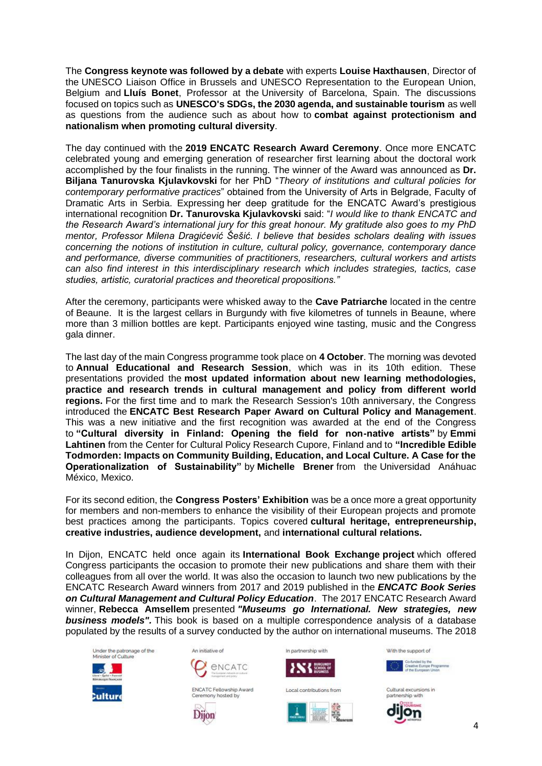The **Congress keynote was followed by a debate** with experts **Louise Haxthausen**, Director of the UNESCO Liaison Office in Brussels and UNESCO Representation to the European Union, Belgium and **Lluís Bonet**, Professor at the University of Barcelona, Spain. The discussions focused on topics such as **UNESCO's SDGs, the 2030 agenda, and sustainable tourism** as well as questions from the audience such as about how to **combat against protectionism and nationalism when promoting cultural diversity**.

The day continued with the **2019 ENCATC Research Award Ceremony**. Once more ENCATC celebrated young and emerging generation of researcher first learning about the doctoral work accomplished by the four finalists in the running. The winner of the Award was announced as **Dr. Biljana Tanurovska Kjulavkovski** for her PhD "*Theory of institutions and cultural policies for contemporary performative practices*" obtained from the University of Arts in Belgrade, Faculty of Dramatic Arts in Serbia. Expressing her deep gratitude for the ENCATC Award's prestigious international recognition **Dr. Tanurovska Kjulavkovski** said: "*I would like to thank ENCATC and the Research Award's international jury for this great honour. My gratitude also goes to my PhD mentor, Professor Milena Dragićević Šešić. I believe that besides scholars dealing with issues concerning the notions of institution in culture, cultural policy, governance, contemporary dance and performance, diverse communities of practitioners, researchers, cultural workers and artists can also find interest in this interdisciplinary research which includes strategies, tactics, case studies, artistic, curatorial practices and theoretical propositions."*

After the ceremony, participants were whisked away to the **Cave Patriarche** located in the centre of Beaune. It is the largest cellars in Burgundy with five kilometres of tunnels in Beaune, where more than 3 million bottles are kept. Participants enjoyed wine tasting, music and the Congress gala dinner.

The last day of the main Congress programme took place on **4 October**. The morning was devoted to **Annual Educational and Research Session**, which was in its 10th edition. These presentations provided the **most updated information about new learning methodologies, practice and research trends in cultural management and policy from different world regions.** For the first time and to mark the Research Session's 10th anniversary, the Congress introduced the **ENCATC Best Research Paper Award on Cultural Policy and Management**. This was a new initiative and the first recognition was awarded at the end of the Congress to **"Cultural diversity in Finland: Opening the field for non-native artists"** by **Emmi Lahtinen** from the Center for Cultural Policy Research Cupore, Finland and to **"Incredible Edible Todmorden: Impacts on Community Building, Education, and Local Culture. A Case for the Operationalization of Sustainability"** by **Michelle Brener** from the Universidad Anáhuac México, Mexico.

For its second edition, the **Congress Posters' Exhibition** was be a once more a great opportunity for members and non-members to enhance the visibility of their European projects and promote best practices among the participants. Topics covered **cultural heritage, entrepreneurship, creative industries, audience development,** and **international cultural relations.**

In Dijon, ENCATC held once again its **International Book Exchange project** which offered Congress participants the occasion to promote their new publications and share them with their colleagues from all over the world. It was also the occasion to launch two new publications by the ENCATC Research Award winners from 2017 and 2019 published in the *ENCATC Book Series on Cultural Management and Cultural Policy Education*. The 2017 ENCATC Research Award winner, **Rebecca Amsellem** presented *"Museums go International. New strategies, new business models".* This book is based on a multiple correspondence analysis of a database populated by the results of a survey conducted by the author on international museums. The 2018





Dijon





In partnerchip with

**INS SCHOOL OF**